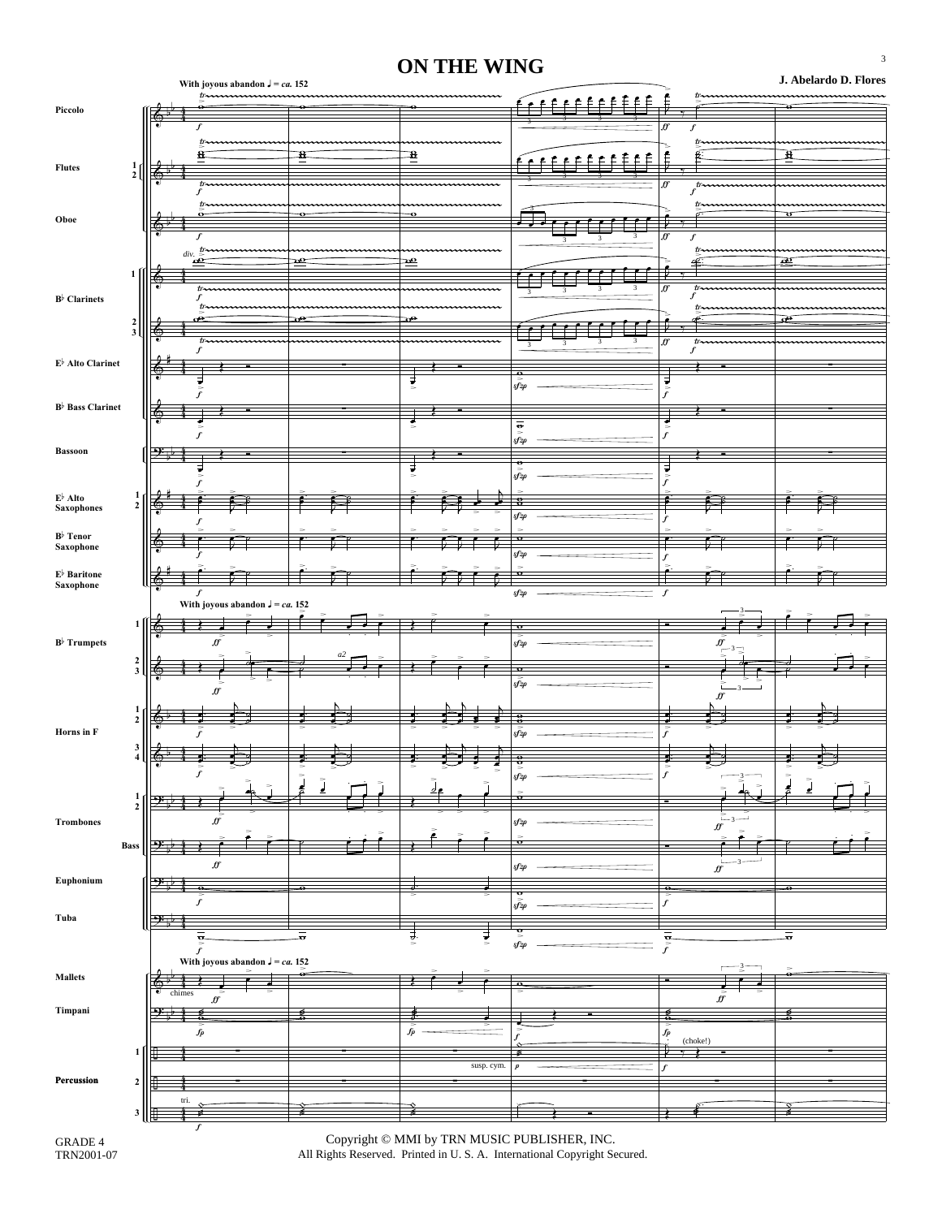## **ON THE WING**

|                                                    |                   | With joyous abandon $J = ca$ . 152                         |             |                     |                                        |                                  | J. Abelardo D. Flores |
|----------------------------------------------------|-------------------|------------------------------------------------------------|-------------|---------------------|----------------------------------------|----------------------------------|-----------------------|
|                                                    |                   | $t_{\rm max}$                                              |             |                     |                                        | trummunn                         | mmm                   |
| Piccolo                                            |                   |                                                            |             |                     |                                        |                                  |                       |
|                                                    |                   | f                                                          |             |                     |                                        | ∬<br>$\mathcal{F}_{\mathcal{L}}$ |                       |
|                                                    |                   | $tr_{\sim}$<br>ß                                           |             | 궐                   |                                        | trumm                            | я                     |
| <b>Flutes</b>                                      | $\frac{1}{2}$     |                                                            | £           |                     |                                        |                                  |                       |
|                                                    |                   | ⊕<br>$tr_{\sim}$                                           |             |                     |                                        | tı<br>fI                         |                       |
|                                                    |                   |                                                            |             |                     |                                        | tr                               |                       |
| Oboe                                               |                   | ţr.                                                        | $\alpha$    | $\mathbf{a}$        |                                        |                                  | $\sigma$              |
|                                                    |                   | ⊕                                                          |             |                     |                                        | ff<br>$\boldsymbol{f}$           |                       |
|                                                    |                   | tr                                                         |             |                     |                                        | thanananana                      | nnn                   |
|                                                    |                   | $\frac{div}{\underline{\mathbf{e}}\underline{\mathbf{e}}}$ | æ           | $\mathbf{a}$        |                                        |                                  | $\mathbf{a}$          |
|                                                    | 1                 | €                                                          |             |                     |                                        |                                  |                       |
| $B^{\flat}$ Clarinets                              |                   | $tr_{\sim}$                                                |             |                     | 3                                      | tr.<br>∬                         |                       |
|                                                    |                   | tr.                                                        |             |                     |                                        | them                             |                       |
|                                                    | $\frac{2}{3}$     | œ                                                          | <u>to e</u> | $\mathbf{e}$        |                                        |                                  | $\sigma$              |
|                                                    |                   | tr                                                         |             |                     |                                        | tr.                              |                       |
| $\mathbf{E}^{\flat}$ Alto Clarinet                 |                   | f                                                          |             |                     |                                        | $\boldsymbol{f}$                 |                       |
| B <sup>b</sup> Bass Clarinet                       |                   |                                                            |             |                     | $\bullet$                              |                                  |                       |
|                                                    |                   |                                                            |             |                     |                                        | ₹                                |                       |
|                                                    |                   |                                                            |             |                     |                                        |                                  |                       |
|                                                    |                   | ⋒                                                          |             |                     | $\frac{1}{2}$                          |                                  |                       |
|                                                    |                   |                                                            |             |                     | $\sqrt{s}f$                            | Þ                                |                       |
| <b>Bassoon</b>                                     |                   | $\mathcal{P}$ , $\mathcal{P}$                              |             |                     |                                        |                                  |                       |
|                                                    |                   |                                                            |             |                     | $\sigma$<br>$s\!\bar f\!\!\bar z\!\!p$ | ī                                |                       |
|                                                    |                   |                                                            |             |                     |                                        |                                  |                       |
| $E^{\flat}$ Alto<br>Saxophones                     | 1<br>$\mathbf{2}$ |                                                            |             | ∙                   | 8                                      |                                  |                       |
|                                                    |                   |                                                            |             |                     | sfzp                                   |                                  |                       |
| $B^{\flat}$ Tenor                                  |                   |                                                            |             |                     | $\bullet$                              |                                  |                       |
| $\begin{array}{ll} \textbf{Saxophone} \end{array}$ |                   |                                                            |             |                     |                                        |                                  |                       |
|                                                    |                   |                                                            |             |                     | sfzp                                   |                                  |                       |
| $E^{\flat}$ Baritone<br>Saxophone                  |                   |                                                            |             |                     | $\bar{\mathbf{o}}$                     |                                  |                       |
|                                                    |                   | $\boldsymbol{f}$                                           |             |                     | sfzp                                   | $\boldsymbol{f}$                 |                       |
|                                                    |                   | With joyous abandon $J = ca$ . 152                         |             |                     |                                        |                                  |                       |
|                                                    | $1 \mid$          |                                                            |             |                     | $\overline{\mathbf{o}}$                |                                  |                       |
| $B^{\flat}$ Trumpets                               |                   | ff                                                         |             |                     | sfzp                                   | $f\!f$                           |                       |
|                                                    |                   |                                                            |             |                     |                                        |                                  |                       |
|                                                    | $\frac{2}{3}$     |                                                            |             |                     | $\mathbf{\Omega}$                      |                                  |                       |
|                                                    |                   | ∬                                                          |             |                     | $\sqrt{s}fzp$                          | c<br>$-3-$<br>∬                  |                       |
|                                                    | $\frac{1}{2}$     |                                                            |             |                     |                                        |                                  |                       |
|                                                    |                   |                                                            |             |                     |                                        |                                  |                       |
| Horns in F                                         |                   | $\overline{\mathbb{Q}}$                                    |             |                     | å                                      | ٠                                |                       |
|                                                    |                   |                                                            |             |                     | $s\!f\!z\!\rho$                        | $\boldsymbol{f}$                 |                       |
|                                                    | 3<br>4            |                                                            |             |                     |                                        |                                  |                       |
|                                                    |                   |                                                            |             | 5                   | ÷                                      |                                  |                       |
|                                                    |                   |                                                            |             |                     | sfzp                                   | $\boldsymbol{f}$                 |                       |
|                                                    | $\mathbf{1}$      | <u>(): b</u>                                               |             |                     | $\mathbf \sigma$                       |                                  |                       |
|                                                    | $\mathbf 2$       |                                                            |             |                     |                                        | 二、                               |                       |
| <b>Trombones</b>                                   |                   | sŕ                                                         |             |                     | sfzp                                   | $f\hspace{-0.1cm}f$              |                       |
|                                                    | <b>Bass</b>       | $2 +$                                                      |             |                     | $\mathbf{o}$                           |                                  |                       |
|                                                    |                   | $f\!f$                                                     |             |                     | sfzp                                   |                                  |                       |
| ${\bf Euphonium}$                                  |                   |                                                            |             |                     |                                        | $f\!f$                           |                       |
|                                                    |                   | 9≒⊵                                                        | $\bullet$   |                     | $\bullet$                              | o                                | $\bullet$             |
|                                                    |                   | $\boldsymbol{f}$                                           |             |                     | $s\bar{\bar{f}}z\rho$                  | $\boldsymbol{f}$                 |                       |
| Tuba                                               |                   | $2+$                                                       |             |                     | $\sigma$                               |                                  |                       |
|                                                    |                   | $\sigma$                                                   | ᅟᇹ          | 할.<br>$\bullet$     | sfzp                                   | σ.                               | ᄛ                     |
|                                                    |                   | With joyous abandon $J = ca$ . 152                         |             |                     |                                        | $\bar{\bar{f}}$                  |                       |
| <b>Mallets</b>                                     |                   |                                                            |             |                     |                                        |                                  |                       |
|                                                    |                   | ◈<br>chimes<br>∙                                           |             |                     | $\bullet$                              |                                  |                       |
|                                                    |                   | $f\!f$                                                     |             |                     |                                        | f f                              |                       |
| Timpani                                            |                   | $\rightarrow$                                              |             |                     |                                        | 舙                                |                       |
|                                                    |                   | $\bar{f}_p$                                                |             | $\bar{\tilde{f p}}$ |                                        | $\bar{f}_P$<br>(choke!)          |                       |
|                                                    | $\mathbf{1}$      |                                                            |             |                     |                                        | ₹                                |                       |
|                                                    |                   |                                                            |             | susp. cym.          | $\boldsymbol{p}$                       | $\mathcal{L}_{\mathcal{L}}$      |                       |
| Percussion                                         | $\overline{2}$    |                                                            |             |                     |                                        |                                  |                       |
|                                                    |                   | tri.                                                       |             |                     |                                        |                                  |                       |
|                                                    | $\mathbf{3}$      | 芗<br>$\boldsymbol{f}$                                      |             |                     |                                        |                                  |                       |

Copyright © MMI by TRN MUSIC PUBLISHER, INC. All Rights Reserved. Printed in U. S. A. International Copyright Secured.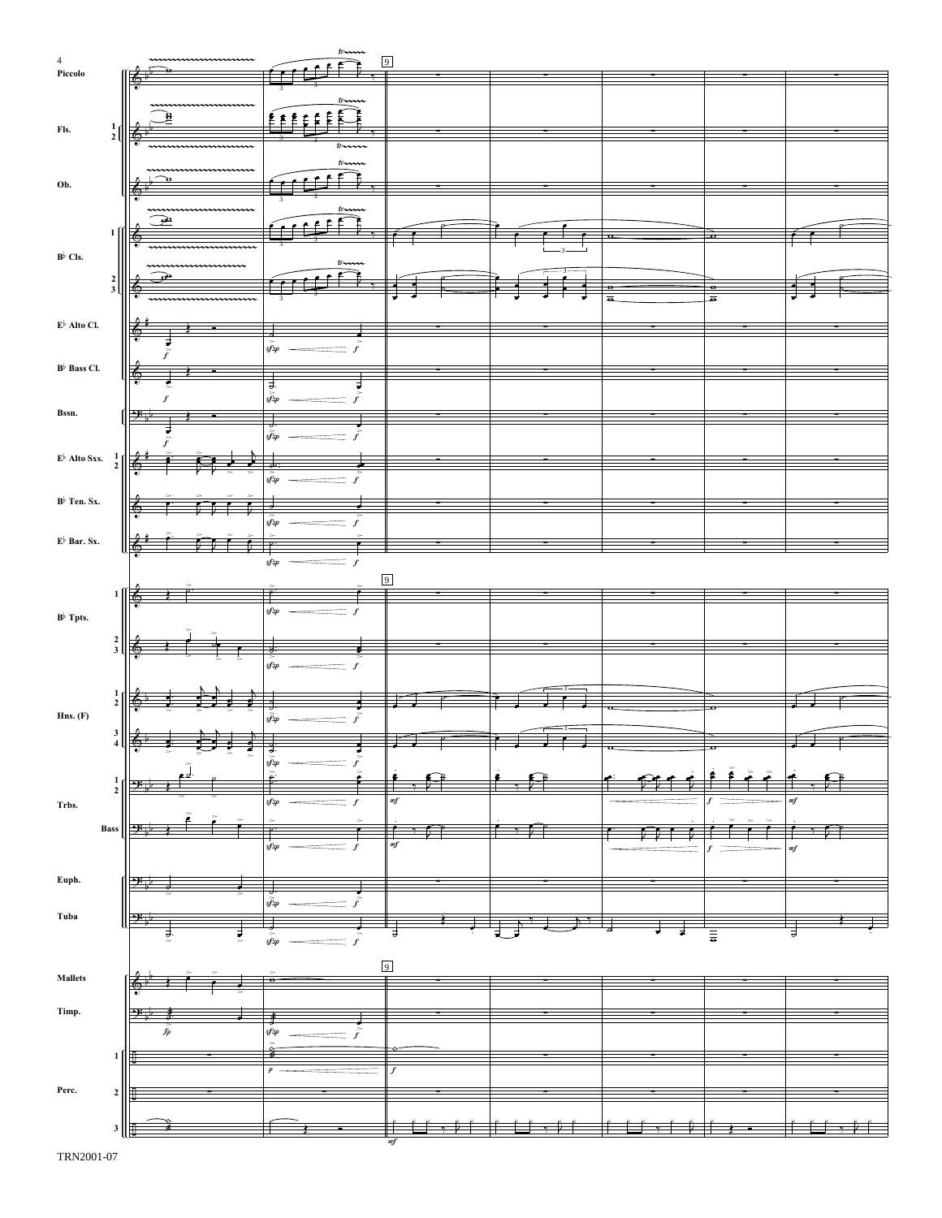

TRN2001-07